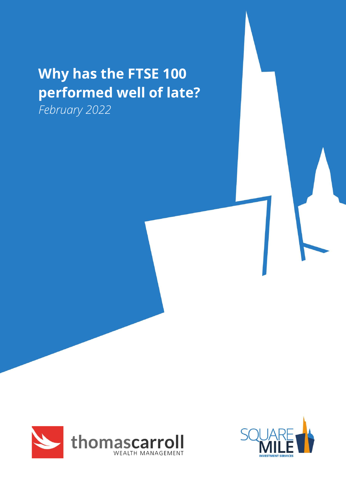# **Why has the FTSE 100 performed well of late?**

*February 2022*



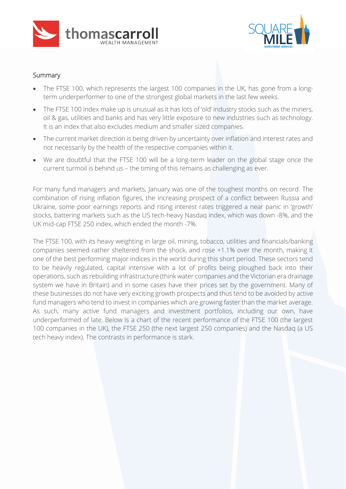



### Summary

- The FTSE 100, which represents the largest 100 companies in the UK, has gone from a longterm underperformer to one of the strongest global markets in the last few weeks.
- The FTSE 100 index make up is unusual as it has lots of 'old' industry stocks such as the miners, oil & gas, utilities and banks and has very little exposure to new industries such as technology. It is an index that also excludes medium and smaller sized companies.
- The current market direction is being driven by uncertainty over inflation and interest rates and not necessarily by the health of the respective companies within it.
- We are doubtful that the FTSE 100 will be a long-term leader on the global stage once the current turmoil is behind us – the timing of this remains as challenging as ever.

For many fund managers and markets, January was one of the toughest months on record. The combination of rising inflation figures, the increasing prospect of a conflict between Russia and Ukraine, some poor earnings reports and rising interest rates triggered a near panic in 'growth' stocks, battering markets such as the US tech-heavy Nasdaq index, which was down -8%, and the UK mid-cap FTSE 250 index, which ended the month -7%.

The FTSE 100, with its heavy weighting in large oil, mining, tobacco, utilities and financials/banking companies seemed rather sheltered from the shock, and rose +1.1% over the month, making it one of the best performing major indices in the world during this short period. These sectors tend to be heavily regulated, capital intensive with a lot of profits being ploughed back into their operations, such as rebuilding infrastructure (think water companies and the Victorian era drainage system we have in Britain) and in some cases have their prices set by the government. Many of these businesses do not have very exciting growth prospects and thus tend to be avoided by active fund managers who tend to invest in companies which are growing faster than the market average. As such, many active fund managers and investment portfolios, including our own, have underperformed of late. Below is a chart of the recent performance of the FTSE 100 (the largest 100 companies in the UK), the FTSE 250 (the next largest 250 companies) and the Nasdaq (a US tech heavy index). The contrasts in performance is stark.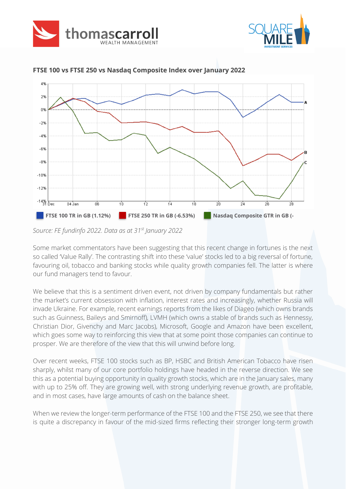





**FTSE 100 vs FTSE 250 vs Nasdaq Composite Index over January 2022**

Some market commentators have been suggesting that this recent change in fortunes is the next so called 'Value Rally'. The contrasting shift into these 'value' stocks led to a big reversal of fortune, favouring oil, tobacco and banking stocks while quality growth companies fell. The latter is where our fund managers tend to favour.

We believe that this is a sentiment driven event, not driven by company fundamentals but rather the market's current obsession with inflation, interest rates and increasingly, whether Russia will invade Ukraine. For example, recent earnings reports from the likes of Diageo (which owns brands such as Guinness, Baileys and Smirnoff), LVMH (which owns a stable of brands such as Hennessy, Christian Dior, Givenchy and Marc Jacobs), Microsoft, Google and Amazon have been excellent, which goes some way to reinforcing this view that at some point those companies can continue to prosper. We are therefore of the view that this will unwind before long.

Over recent weeks, FTSE 100 stocks such as BP, HSBC and British American Tobacco have risen sharply, whilst many of our core portfolio holdings have headed in the reverse direction. We see this as a potential buying opportunity in quality growth stocks, which are in the January sales, many with up to 25% off. They are growing well, with strong underlying revenue growth, are profitable, and in most cases, have large amounts of cash on the balance sheet.

When we review the longer-term performance of the FTSE 100 and the FTSE 250, we see that there is quite a discrepancy in favour of the mid-sized firms reflecting their stronger long-term growth

*Source: FE fundinfo 2022. Data as at 31st January 2022*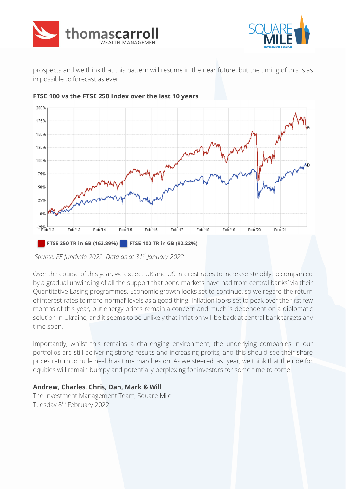



prospects and we think that this pattern will resume in the near future, but the timing of this is as impossible to forecast as ever.



#### **FTSE 100 vs the FTSE 250 Index over the last 10 years**

*Source: FE fundinfo 2022. Data as at 31st January 2022*

Over the course of this year, we expect UK and US interest rates to increase steadily, accompanied by a gradual unwinding of all the support that bond markets have had from central banks' via their Quantitative Easing programmes. Economic growth looks set to continue, so we regard the return of interest rates to more 'normal' levels as a good thing. Inflation looks set to peak over the first few months of this year, but energy prices remain a concern and much is dependent on a diplomatic solution in Ukraine, and it seems to be unlikely that inflation will be back at central bank targets any time soon.

Importantly, whilst this remains a challenging environment, the underlying companies in our portfolios are still delivering strong results and increasing profits, and this should see their share prices return to rude health as time marches on. As we steered last year, we think that the ride for equities will remain bumpy and potentially perplexing for investors for some time to come.

## **Andrew, Charles, Chris, Dan, Mark & Will**

The Investment Management Team, Square Mile Tuesday 8<sup>th</sup> February 2022